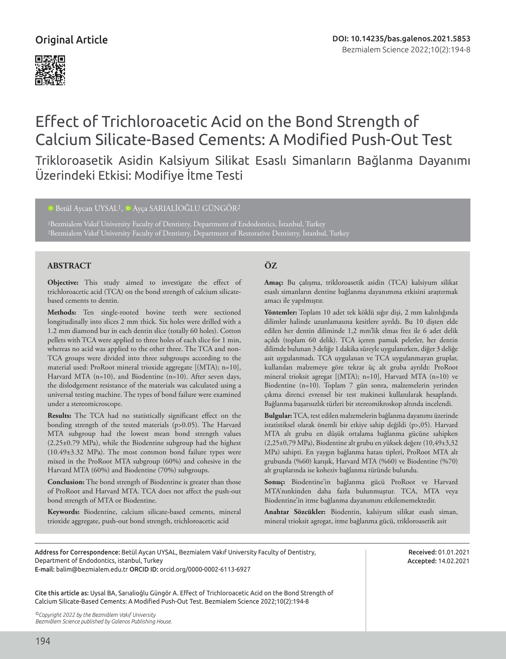

# Effect of Trichloroacetic Acid on the Bond Strength of Calcium Silicate-Based Cements: A Modified Push-Out Test

Trikloroasetik Asidin Kalsiyum Silikat Esaslı Simanların Bağlanma Dayanımı Üzerindeki Etkisi: Modifiye İtme Testi

# <sup>1</sup>DBetül Aycan UYSAL<sup>1</sup>, <sup>1</sup>D Ayça SARIALİOĞLU GÜNGÖR<sup>2</sup>

1Bezmialem Vakıf University Faculty of Dentistry, Department of Endodontics, İstanbul, Turkey

# **ABSTRACT ÖZ**

**Objective:** This study aimed to investigate the effect of trichloroacetic acid (TCA) on the bond strength of calcium silicatebased cements to dentin.

**Methods:** Ten single-rooted bovine teeth were sectioned longitudinally into slices 2 mm thick. Six holes were drilled with a 1.2 mm diamond bur in each dentin slice (totally 60 holes). Cotton pellets with TCA were applied to three holes of each slice for 1 min, whereas no acid was applied to the other three. The TCA and non-TCA groups were divided into three subgroups according to the material used: ProRoot mineral trioxide aggregate [(MTA); n=10], Harvard MTA (n=10), and Biodentine (n=10). After seven days, the dislodgement resistance of the materials was calculated using a universal testing machine. The types of bond failure were examined under a stereomicroscope.

**Results:** The TCA had no statistically significant effect on the bonding strength of the tested materials (p>0.05). The Harvard MTA subgroup had the lowest mean bond strength values (2.25±0.79 MPa), while the Biodentine subgroup had the highest (10.49±3.32 MPa). The most common bond failure types were mixed in the ProRoot MTA subgroup (60%) and cohesive in the Harvard MTA (60%) and Biodentine (70%) subgroups.

**Conclusion:** The bond strength of Biodentine is greater than those of ProRoot and Harvard MTA. TCA does not affect the push-out bond strength of MTA or Biodentine.

**Keywords:** Biodentine, calcium silicate-based cements, mineral trioxide aggregate, push-out bond strength, trichloroacetic acid

**Amaç:** Bu çalışma, trikloroasetik asidin (TCA) kalsiyum silikat esaslı simanların dentine bağlanma dayanımına etkisini araştırmak amacı ile yapılmıştır.

**Yöntemler:** Toplam 10 adet tek köklü sığır dişi, 2 mm kalınlığında dilimler halinde uzunlamasına kesitlere ayrıldı. Bu 10 dişten elde edilen her dentin diliminde 1,2 mm'lik elmas frez ile 6 adet delik açıldı (toplam 60 delik). TCA içeren pamuk peletler, her dentin dilimde bulunan 3 deliğe 1 dakika süreyle uygulanırken, diğer 3 deliğe asit uygulanmadı. TCA uygulanan ve TCA uygulanmayan gruplar, kullanılan malzemeye göre tekrar üç alt gruba ayrıldı: ProRoot mineral trioksit agregat [(MTA); n=10], Harvard MTA (n=10) ve Biodentine (n=10). Toplam 7 gün sonra, malzemelerin yerinden çıkma direnci evrensel bir test makinesi kullanılarak hesaplandı. Bağlanma başarısızlık türleri bir stereomikroskop altında incelendi.

**Bulgular:** TCA, test edilen malzemelerin bağlanma dayanımı üzerinde istatistiksel olarak önemli bir etkiye sahip değildi (p>,05). Harvard MTA alt grubu en düşük ortalama bağlanma gücüne sahipken (2,25±0,79 MPa), Biodentine alt grubu en yüksek değere (10,49±3,32 MPa) sahipti. En yaygın bağlanma hatası tipleri, ProRoot MTA alt grubunda (%60) karışık, Harvard MTA (%60) ve Biodentine (%70) alt gruplarında ise koheziv bağlanma türünde bulundu.

**Sonuç:** Biodentine'in bağlanma gücü ProRoot ve Harvard MTA'nınkinden daha fazla bulunmuştur. TCA, MTA veya Biodentine'in itme bağlanma dayanımını etkilememektedir.

**Anahtar Sözcükler:** Biodentin, kalsiyum silikat esaslı siman, mineral trioksit agregat, itme bağlanma gücü, trikloroasetik asit

Address for Correspondence: Betül Aycan UYSAL, Bezmialem Vakıf University Faculty of Dentistry, Department of Endodontics, istanbul, Turkey E-mail: balim@bezmialem.edu.tr ORCID ID: orcid.org/0000-0002-6113-6927

Received: 01.01.2021 Accepted: 14.02.2021

Cite this article as: Uysal BA, Sarıalioğlu Güngör A. Effect of Trichloroacetic Acid on the Bond Strength of Calcium Silicate-Based Cements: A Modified Push-Out Test. Bezmialem Science 2022;10(2):194-8

*©Copyright 2022 by the Bezmiâlem Vakıf University Bezmiâlem Science published by Galenos Publishing House.*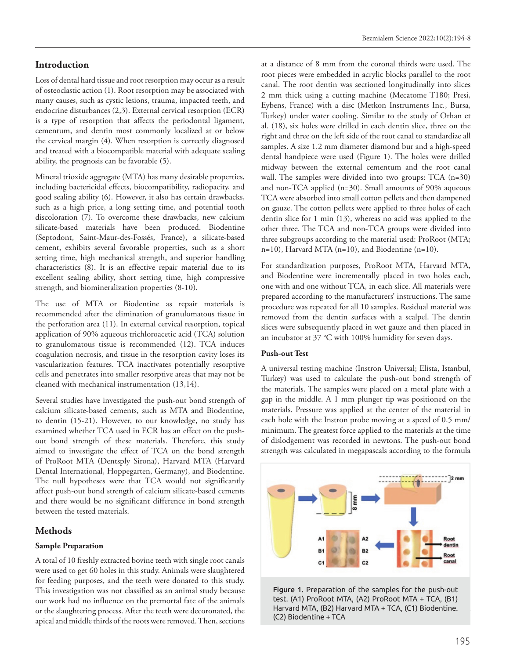# **Introduction**

Loss of dental hard tissue and root resorption may occur as a result of osteoclastic action (1). Root resorption may be associated with many causes, such as cystic lesions, trauma, impacted teeth, and endocrine disturbances (2,3). External cervical resorption (ECR) is a type of resorption that affects the periodontal ligament, cementum, and dentin most commonly localized at or below the cervical margin (4). When resorption is correctly diagnosed and treated with a biocompatible material with adequate sealing ability, the prognosis can be favorable (5).

Mineral trioxide aggregate (MTA) has many desirable properties, including bactericidal effects, biocompatibility, radiopacity, and good sealing ability (6). However, it also has certain drawbacks, such as a high price, a long setting time, and potential tooth discoloration (7). To overcome these drawbacks, new calcium silicate-based materials have been produced. Biodentine (Septodont, Saint-Maur-des-Fossés, France), a silicate-based cement, exhibits several favorable properties, such as a short setting time, high mechanical strength, and superior handling characteristics (8). It is an effective repair material due to its excellent sealing ability, short setting time, high compressive strength, and biomineralization properties (8-10).

The use of MTA or Biodentine as repair materials is recommended after the elimination of granulomatous tissue in the perforation area (11). In external cervical resorption, topical application of 90% aqueous trichloroacetic acid (TCA) solution to granulomatous tissue is recommended (12). TCA induces coagulation necrosis, and tissue in the resorption cavity loses its vascularization features. TCA inactivates potentially resorptive cells and penetrates into smaller resorptive areas that may not be cleaned with mechanical instrumentation (13,14).

Several studies have investigated the push-out bond strength of calcium silicate-based cements, such as MTA and Biodentine, to dentin (15-21). However, to our knowledge, no study has examined whether TCA used in ECR has an effect on the pushout bond strength of these materials. Therefore, this study aimed to investigate the effect of TCA on the bond strength of ProRoot MTA (Dentsply Sirona), Harvard MTA (Harvard Dental International, Hoppegarten, Germany), and Biodentine. The null hypotheses were that TCA would not significantly affect push-out bond strength of calcium silicate-based cements and there would be no significant difference in bond strength between the tested materials.

# **Methods**

# **Sample Preparation**

A total of 10 freshly extracted bovine teeth with single root canals were used to get 60 holes in this study. Animals were slaughtered for feeding purposes, and the teeth were donated to this study. This investigation was not classified as an animal study because our work had no influence on the premortal fate of the animals or the slaughtering process. After the teeth were decoronated, the apical and middle thirds of the roots were removed. Then, sections

at a distance of 8 mm from the coronal thirds were used. The root pieces were embedded in acrylic blocks parallel to the root canal. The root dentin was sectioned longitudinally into slices 2 mm thick using a cutting machine (Mecatome T180; Presi, Eybens, France) with a disc (Metkon Instruments Inc., Bursa, Turkey) under water cooling. Similar to the study of Orhan et al. (18), six holes were drilled in each dentin slice, three on the right and three on the left side of the root canal to standardize all samples. A size 1.2 mm diameter diamond bur and a high-speed dental handpiece were used (Figure 1). The holes were drilled midway between the external cementum and the root canal wall. The samples were divided into two groups: TCA (n=30) and non-TCA applied (n=30). Small amounts of 90% aqueous TCA were absorbed into small cotton pellets and then dampened on gauze. The cotton pellets were applied to three holes of each dentin slice for 1 min (13), whereas no acid was applied to the other three. The TCA and non-TCA groups were divided into three subgroups according to the material used: ProRoot (MTA; n=10), Harvard MTA (n=10), and Biodentine (n=10).

For standardization purposes, ProRoot MTA, Harvard MTA, and Biodentine were incrementally placed in two holes each, one with and one without TCA, in each slice. All materials were prepared according to the manufacturers' instructions. The same procedure was repeated for all 10 samples. Residual material was removed from the dentin surfaces with a scalpel. The dentin slices were subsequently placed in wet gauze and then placed in an incubator at 37 °C with 100% humidity for seven days.

# **Push-out Test**

A universal testing machine (Instron Universal; Elista, Istanbul, Turkey) was used to calculate the push-out bond strength of the materials. The samples were placed on a metal plate with a gap in the middle. A 1 mm plunger tip was positioned on the materials. Pressure was applied at the center of the material in each hole with the Instron probe moving at a speed of 0.5 mm/ minimum. The greatest force applied to the materials at the time of dislodgement was recorded in newtons. The push-out bond strength was calculated in megapascals according to the formula



test. (A1) ProRoot MTA, (A2) ProRoot MTA + TCA, (B1) Harvard MTA, (B2) Harvard MTA + TCA, (C1) Biodentine.<br>(G3) Biodentine TCA canal radius, and h is the thickness of the dentine slice. The dentine slice  $\alpha$ Figure 1. Preparation of the samples for the push-out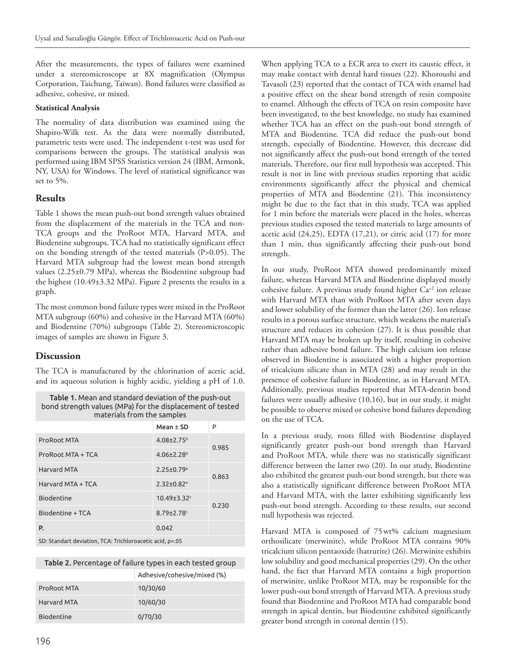After the measurements, the types of failures were examined under a stereomicroscope at 8X magnification (Olympus Corporation, Taichung, Taiwan). Bond failures were classified as adhesive, cohesive, or mixed.

#### **Statistical Analysis**

The normality of data distribution was examined using the Shapiro-Wilk test. As the data were normally distributed, parametric tests were used. The independent t-test was used for comparisons between the groups. The statistical analysis was performed using IBM SPSS Statistics version 24 (IBM, Armonk, NY, USA) for Windows. The level of statistical significance was set to 5%.

# **Results**

Table 1 shows the mean push-out bond strength values obtained from the displacement of the materials in the TCA and non-TCA groups and the ProRoot MTA, Harvard MTA, and Biodentine subgroups. TCA had no statistically significant effect on the bonding strength of the tested materials (P>0.05). The Harvard MTA subgroup had the lowest mean bond strength values (2.25±0.79 MPa), whereas the Biodentine subgroup had the highest (10.49±3.32 MPa). Figure 2 presents the results in a graph.

The most common bond failure types were mixed in the ProRoot MTA subgroup (60%) and cohesive in the Harvard MTA (60%) and Biodentine (70%) subgroups (Table 2). Stereomicroscopic images of samples are shown in Figure 3.

# **Discussion**

The TCA is manufactured by the chlorination of acetic acid, and its aqueous solution is highly acidic, yielding a pH of 1.0.

| Table 1. Mean and standard deviation of the push-out      |
|-----------------------------------------------------------|
| bond strength values (MPa) for the displacement of tested |
| materials from the samples                                |

|                    | Mean $\pm$ SD                | P     |
|--------------------|------------------------------|-------|
| ProRoot MTA        | $4.08 \pm 2.75$ <sup>b</sup> | 0.985 |
| ProRoot MTA + TCA  | $4.06 \pm 2.28$ <sup>b</sup> |       |
| <b>Harvard MTA</b> | $2.25 \pm 0.79$ <sup>a</sup> | 0.863 |
| Harvard MTA + TCA  | $2.32 \pm 0.82$ <sup>a</sup> |       |
| Biodentine         | $10.49 \pm 3.32$ c           | 0.230 |
| Biodentine + TCA   | $8.79 \pm 2.78$ <sup>c</sup> |       |
| P.                 | 0.042                        |       |
| CD                 |                              |       |

andart deviation, TCA: Trichloroacetic acid:

#### Table 2. Percentage of failure types in each tested group

|             | Adhesive/cohesive/mixed (%) |
|-------------|-----------------------------|
| ProRoot MTA | 10/30/60                    |
| Harvard MTA | 10/60/30                    |
| Biodentine  | 0/70/30                     |

When applying TCA to a ECR area to exert its caustic effect, it may make contact with dental hard tissues (22). Khoroushi and Tavasoli (23) reported that the contact of TCA with enamel had a positive effect on the shear bond strength of resin composite to enamel. Although the effects of TCA on resin composite have been investigated, to the best knowledge, no study has examined whether TCA has an effect on the push-out bond strength of MTA and Biodentine. TCA did reduce the push-out bond strength, especially of Biodentine. However, this decrease did not significantly affect the push-out bond strength of the tested materials. Therefore, our first null hypothesis was accepted. This result is not in line with previous studies reporting that acidic environments significantly affect the physical and chemical properties of MTA and Biodentine (21). This inconsistency might be due to the fact that in this study, TCA was applied for 1 min before the materials were placed in the holes, whereas previous studies exposed the tested materials to large amounts of acetic acid (24,25), EDTA (17,21), or citric acid  $(17)$  for more than 1 min, thus significantly affecting their push-out bond strength.

In our study, ProRoot MTA showed predominantly mixed failure, whereas Harvard MTA and Biodentine displayed mostly cohesive failure. A previous study found higher Ca<sup>+2</sup> ion release with Harvard MTA than with ProRoot MTA after seven days and lower solubility of the former than the latter (26). Ion release results in a porous surface structure, which weakens the material's structure and reduces its cohesion (27). It is thus possible that Harvard MTA may be broken up by itself, resulting in cohesive rather than adhesive bond failure. The high calcium ion release observed in Biodentine is associated with a higher proportion of tricalcium silicate than in MTA (28) and may result in the presence of cohesive failure in Biodentine, as in Harvard MTA. Additionally, previous studies reported that MTA-dentin bond failures were usually adhesive (10,16), but in our study, it might be possible to observe mixed or cohesive bond failures depending on the use of TCA.

In a previous study, roots filled with Biodentine displayed significantly greater push-out bond strength than Harvard and ProRoot MTA, while there was no statistically significant difference between the latter two (20). In our study, Biodentine also exhibited the greatest push-out bond strength, but there was also a statistically significant difference between ProRoot MTA and Harvard MTA, with the latter exhibiting significantly less push-out bond strength. According to these results, our second null hypothesis was rejected.

Harvard MTA is composed of 75wt% calcium magnesium orthosilicate (merwinite), while ProRoot MTA contains 90% tricalcium silicon pentaoxide (hatrurite) (26). Merwinite exhibits low solubility and good mechanical properties (29). On the other hand, the fact that Harvard MTA contains a high proportion of merwinite, unlike ProRoot MTA, may be responsible for the lower push-out bond strength of Harvard MTA. A previous study found that Biodentine and ProRoot MTA had comparable bond strength in apical dentin, but Biodentine exhibited significantly greater bond strength in coronal dentin (15).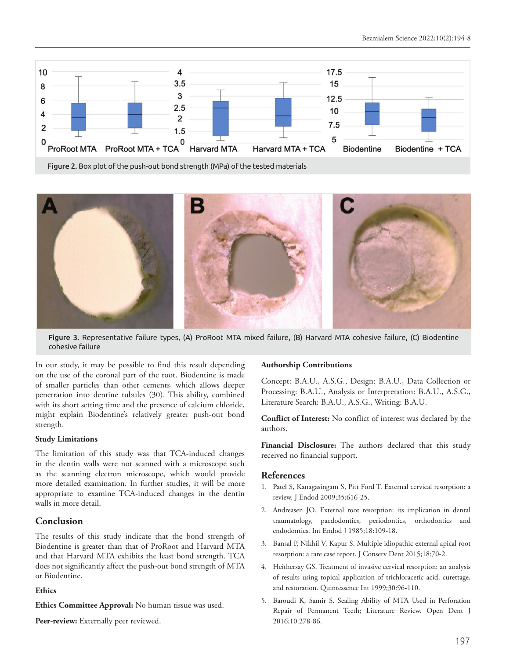

Figure 2. Box plot of the push-out bond strength (MPa) of the tested materials



Figure 3. Representative failure types, (A) ProRoot MTA mixed failure, (B) Harvard MTA cohesive failure, (C) Biodentine cohesive failure

In our study, it may be possible to find this result depending on the use of the coronal part of the root. Biodentine is made of smaller particles than other cements, which allows deeper penetration into dentine tubules (30). This ability, combined with its short setting time and the presence of calcium chloride, might explain Biodentine's relatively greater push-out bond strength.

#### **Study Limitations**

The limitation of this study was that TCA-induced changes in the dentin walls were not scanned with a microscope such as the scanning electron microscope, which would provide more detailed examination. In further studies, it will be more appropriate to examine TCA-induced changes in the dentin walls in more detail.

# **Conclusion**

The results of this study indicate that the bond strength of Biodentine is greater than that of ProRoot and Harvard MTA and that Harvard MTA exhibits the least bond strength. TCA does not significantly affect the push-out bond strength of MTA or Biodentine.

#### **Ethics**

**Ethics Committee Approval:** No human tissue was used.

Peer-review: Externally peer reviewed.

#### **Authorship Contributions**

Concept: B.A.U., A.S.G., Design: B.A.U., Data Collection or Processing: B.A.U., Analysis or Interpretation: B.A.U., A.S.G., Literature Search: B.A.U., A.S.G., Writing: B.A.U.

**Conflict of Interest:** No conflict of interest was declared by the authors.

**Financial Disclosure:** The authors declared that this study received no financial support.

#### **References**

- 1. Patel S, Kanagasingam S, Pitt Ford T. External cervical resorption: a review. J Endod 2009;35:616-25.
- 2. Andreasen JO. External root resorption: its implication in dental traumatology, paedodontics, periodontics, orthodontics and endodontics. Int Endod J 1985;18:109-18.
- 3. Bansal P, Nikhil V, Kapur S. Multiple idiopathic external apical root resorption: a rare case report. J Conserv Dent 2015;18:70-2.
- 4. Heithersay GS. Treatment of invasive cervical resorption: an analysis of results using topical application of trichloracetic acid, curettage, and restoration. Quintessence Int 1999;30:96-110.
- 5. Baroudi K, Samir S. Sealing Ability of MTA Used in Perforation Repair of Permanent Teeth; Literature Review. Open Dent J 2016;10:278-86.